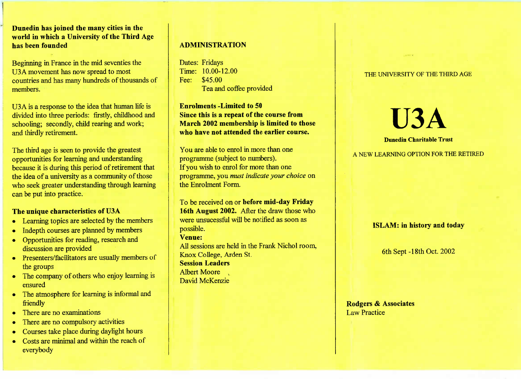**Dunedin has joined the many cities in the world in which a University of the Third Agehas been founded**

Beginning in France in the mid seventies theU3A movement has now spread to most countries and has many hundreds of thousands ofmembers.

U3A is a response to the idea that human life is livided into three periods: firstly, childhood and schooling; secondly, child rearing and work;and thirdly retirement.

The third age is seen to provide the greatest opportunities for learning and understanding because it is during this period of retirement that the idea of a university as a community of those who seek greater understanding through learningcan be put into practice.

# **The unique characteristics of U3A**

- Learning topics are selected by the members
- Indepth courses are planned by members
- Opportunities for reading, research anddiscussion are provided
- Presenters/facilitators are usually members ofthe groups
- The company of others who enjoy learning isensured
- The atmosphere for learning is informal andfriendly
- There are no examinations
- There are no compulsory activities
- Courses take place during daylight hours
- Costs are minimal and within the reach of everybody

# **ADMINISTRATION**

Dates: Fridays Time: 10.00-12.00Fee: \$45.00I ea and coffee provided

**Enrolments -Limited to 50 Since this is a repeat of the course from March 2002 membership is limited to thosewho have not attended the earlier course.**

You are able to enrol in more than oneprogramme (subject to numbers). If you wish to enrol for more than one programme, you *must indicate your choice* onthe Enrolment Form.

To be received on or **before mid-day Friday 16th August 2002.** After the draw those whowere unsucessful will be notified as soon aspossible.**Venue:**

 All sessions are held in the Frank Nichol room,Knox College, Arden St.**Session Leaders**

Albert Moore David McKenzie

#### THE UNIVERSITY OF THE THIRD AGE

**U3A**

**Dunedin Charitable Trust**

A NEW LEARNING OPTION FOR THE RETIRED

## **ISLAM: in history and today**

6th Sept-18th Oct. 2002

**Rodgers & Associates**Law Practice